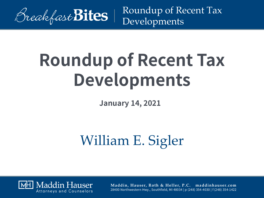

# **Roundup of Recent Tax Developments**

**January 14, 2021**

# William E. Sigler

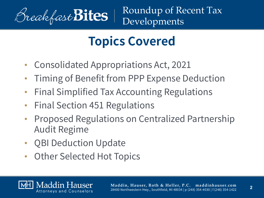

## **Topics Covered**

- Consolidated Appropriations Act, 2021
- Timing of Benefit from PPP Expense Deduction
- Final Simplified Tax Accounting Regulations
- Final Section 451 Regulations
- Proposed Regulations on Centralized Partnership Audit Regime
- QBI Deduction Update
- Other Selected Hot Topics



**2**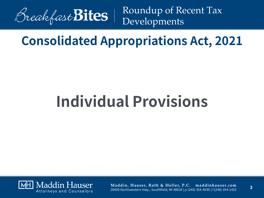

#### **Consolidated Appropriations Act, 2021**

# **Individual Provisions**

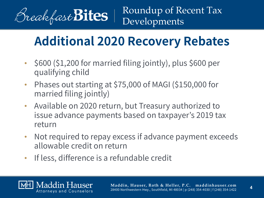

### **Additional 2020 Recovery Rebates**

- \$600 (\$1,200 for married filing jointly), plus \$600 per qualifying child
- Phases out starting at \$75,000 of MAGI (\$150,000 for married filing jointly)
- Available on 2020 return, but Treasury authorized to issue advance payments based on taxpayer's 2019 tax return
- Not required to repay excess if advance payment exceeds allowable credit on return
- If less, difference is a refundable credit

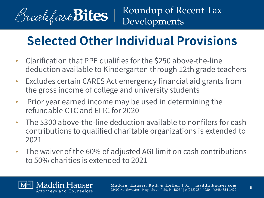

## **Selected Other Individual Provisions**

- Clarification that PPE qualifies for the \$250 above-the-line deduction available to Kindergarten through 12th grade teachers
- Excludes certain CARES Act emergency financial aid grants from the gross income of college and university students
- Prior year earned income may be used in determining the refundable CTC and EITC for 2020
- The \$300 above-the-line deduction available to nonfilers for cash contributions to qualified charitable organizations is extended to 2021
- The waiver of the 60% of adjusted AGI limit on cash contributions to 50% charities is extended to 2021

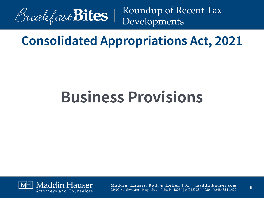

#### **Consolidated Appropriations Act, 2021**

# **Business Provisions**

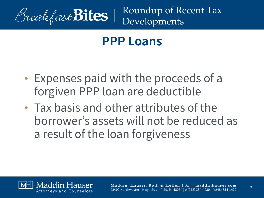

#### **PPP Loans**

- Expenses paid with the proceeds of a forgiven PPP loan are deductible
- Tax basis and other attributes of the borrower's assets will not be reduced as a result of the loan forgiveness

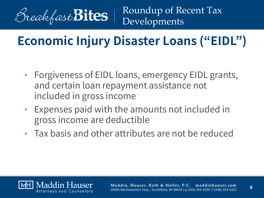

## **Economic Injury Disaster Loans ("EIDL")**

- Forgiveness of EIDL loans, emergency EIDL grants, and certain loan repayment assistance not included in gross income
- Expenses paid with the amounts not included in gross income are deductible
- Tax basis and other attributes are not be reduced

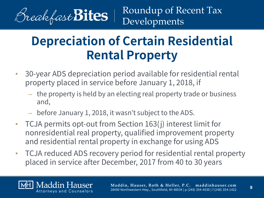

Maddin Hauser

Roundup of Recent Tax Developments

## **Depreciation of Certain Residential Rental Property**

- 30-year ADS depreciation period available for residential rental property placed in service before January 1, 2018, if
	- the property is held by an electing real property trade or business and,
	- before January 1, 2018, it wasn't subject to the ADS.
- TCJA permits opt-out from Section 163(j) interest limit for nonresidential real property, qualified improvement property and residential rental property in exchange for using ADS
- TCJA reduced ADS recovery period for residential rental property placed in service after December, 2017 from 40 to 30 years

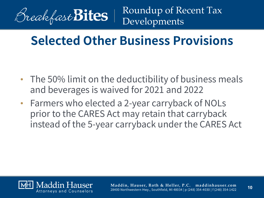

#### **Selected Other Business Provisions**

- The 50% limit on the deductibility of business meals and beverages is waived for 2021 and 2022
- Farmers who elected a 2-year carryback of NOLs prior to the CARES Act may retain that carryback instead of the 5-year carryback under the CARES Act

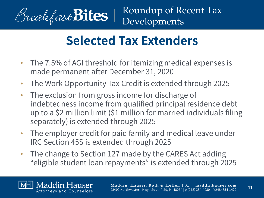

Maddin Hauser

#### **Selected Tax Extenders**

- The 7.5% of AGI threshold for itemizing medical expenses is made permanent after December 31, 2020
- The Work Opportunity Tax Credit is extended through 2025
- The exclusion from gross income for discharge of indebtedness income from qualified principal residence debt up to a \$2 million limit (\$1 million for married individuals filing separately) is extended through 2025
- The employer credit for paid family and medical leave under IRC Section 45S is extended through 2025
- The change to Section 127 made by the CARES Act adding "eligible student loan repayments" is extended through 2025



**11**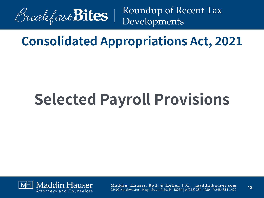

#### **Consolidated Appropriations Act, 2021**

# **Selected Payroll Provisions**

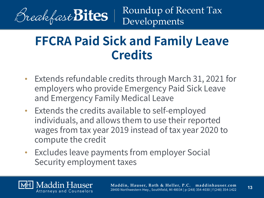

#### **FFCRA Paid Sick and Family Leave Credits**

- Extends refundable credits through March 31, 2021 for employers who provide Emergency Paid Sick Leave and Emergency Family Medical Leave
- Extends the credits available to self-employed individuals, and allows them to use their reported wages from tax year 2019 instead of tax year 2020 to compute the credit
- Excludes leave payments from employer Social Security employment taxes

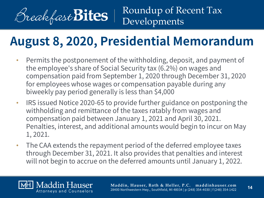

#### **August 8, 2020, Presidential Memorandum**

- Permits the postponement of the withholding, deposit, and payment of the employee's share of Social Security tax (6.2%) on wages and compensation paid from September 1, 2020 through December 31, 2020 for employees whose wages or compensation payable during any biweekly pay period generally is less than \$4,000
- IRS issued Notice 2020-65 to provide further guidance on postponing the withholding and remittance of the taxes ratably from wages and compensation paid between January 1, 2021 and April 30, 2021. Penalties, interest, and additional amounts would begin to incur on May 1, 2021.
- The CAA extends the repayment period of the deferred employee taxes through December 31, 2021. It also provides that penalties and interest will not begin to accrue on the deferred amounts until January 1, 2022.

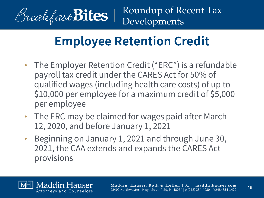

## **Employee Retention Credit**

- The Employer Retention Credit ("ERC") is a refundable payroll tax credit under the CARES Act for 50% of qualified wages (including health care costs) of up to \$10,000 per employee for a maximum credit of \$5,000 per employee
- The ERC may be claimed for wages paid after March 12, 2020, and before January 1, 2021
- Beginning on January 1, 2021 and through June 30, 2021, the CAA extends and expands the CARES Act provisions

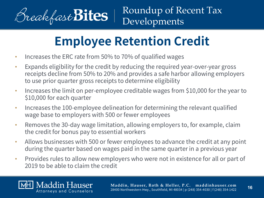

# **Employee Retention Credit**

- Increases the ERC rate from 50% to 70% of qualified wages
- Expands eligibility for the credit by reducing the required year-over-year gross receipts decline from 50% to 20% and provides a safe harbor allowing employers to use prior quarter gross receipts to determine eligibility
- Increases the limit on per-employee creditable wages from \$10,000 for the year to \$10,000 for each quarter
- Increases the 100-employee delineation for determining the relevant qualified wage base to employers with 500 or fewer employees
- Removes the 30-day wage limitation, allowing employers to, for example, claim the credit for bonus pay to essential workers
- Allows businesses with 500 or fewer employees to advance the credit at any point during the quarter based on wages paid in the same quarter in a previous year
- Provides rules to allow new employers who were not in existence for all or part of 2019 to be able to claim the credit

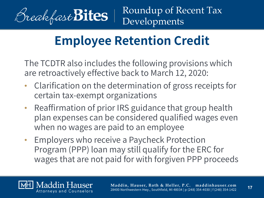

## **Employee Retention Credit**

The TCDTR also includes the following provisions which are retroactively effective back to March 12, 2020:

- Clarification on the determination of gross receipts for certain tax-exempt organizations
- Reaffirmation of prior IRS guidance that group health plan expenses can be considered qualified wages even when no wages are paid to an employee
- Employers who receive a Paycheck Protection Program (PPP) loan may still qualify for the ERC for wages that are not paid for with forgiven PPP proceeds

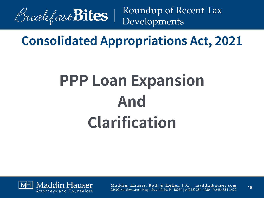

#### **Consolidated Appropriations Act, 2021**

# **PPP Loan Expansion And Clarification**

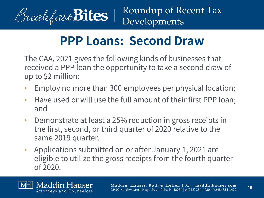

#### **PPP Loans: Second Draw**

The CAA, 2021 gives the following kinds of businesses that received a PPP loan the opportunity to take a second draw of up to \$2 million:

- Employ no more than 300 employees per physical location;
- Have used or will use the full amount of their first PPP loan; and
- Demonstrate at least a 25% reduction in gross receipts in the first, second, or third quarter of 2020 relative to the same 2019 quarter.
- Applications submitted on or after January 1, 2021 are eligible to utilize the gross receipts from the fourth quarter of 2020.

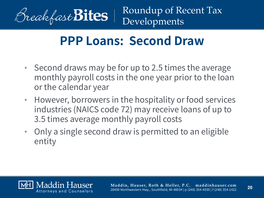

#### **PPP Loans: Second Draw**

- Second draws may be for up to 2.5 times the average monthly payroll costs in the one year prior to the loan or the calendar year
- However, borrowers in the hospitality or food services industries (NAICS code 72) may receive loans of up to 3.5 times average monthly payroll costs
- Only a single second draw is permitted to an eligible entity

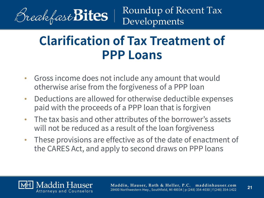

#### **Clarification of Tax Treatment of PPP Loans**

- Gross income does not include any amount that would otherwise arise from the forgiveness of a PPP loan
- Deductions are allowed for otherwise deductible expenses paid with the proceeds of a PPP loan that is forgiven
- The tax basis and other attributes of the borrower's assets will not be reduced as a result of the loan forgiveness
- These provisions are effective as of the date of enactment of the CARES Act, and apply to second draws on PPP loans

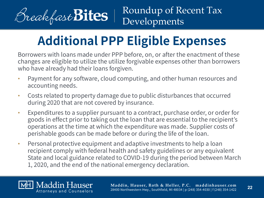

# **Additional PPP Eligible Expenses**

Borrowers with loans made under PPP before, on, or after the enactment of these changes are eligible to utilize the utilize forgivable expenses other than borrowers who have already had their loans forgiven.

- Payment for any software, cloud computing, and other human resources and accounting needs.
- Costs related to property damage due to public disturbances that occurred during 2020 that are not covered by insurance.
- Expenditures to a supplier pursuant to a contract, purchase order, or order for goods in effect prior to taking out the loan that are essential to the recipient's operations at the time at which the expenditure was made. Supplier costs of perishable goods can be made before or during the life of the loan.
- Personal protective equipment and adaptive investments to help a loan recipient comply with federal health and safety guidelines or any equivalent State and local guidance related to COVID-19 during the period between March 1, 2020, and the end of the national emergency declaration.

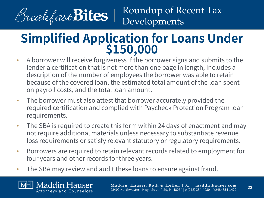

Maddin Hauser Attorneys and Counselors

Roundup of Recent Tax Developments

# **Simplified Application for Loans Under**<br>\$150,000 • A borrower will receive forgiveness if the borrower signs and submits to the

- lender a certification that is not more than one page in length, includes a description of the number of employees the borrower was able to retain because of the covered loan, the estimated total amount of the loan spent on payroll costs, and the total loan amount.
- The borrower must also attest that borrower accurately provided the required certification and complied with Paycheck Protection Program loan requirements.
- The SBA is required to create this form within 24 days of enactment and may not require additional materials unless necessary to substantiate revenue loss requirements or satisfy relevant statutory or regulatory requirements.
- Borrowers are required to retain relevant records related to employment for four years and other records for three years.
- The SBA may review and audit these loans to ensure against fraud.

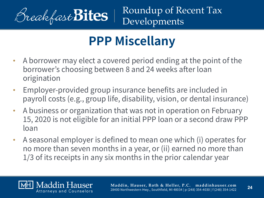

# **PPP Miscellany**

- A borrower may elect a covered period ending at the point of the borrower's choosing between 8 and 24 weeks after loan origination
- Employer-provided group insurance benefits are included in payroll costs (e.g., group life, disability, vision, or dental insurance)
- A business or organization that was not in operation on February 15, 2020 is not eligible for an initial PPP loan or a second draw PPP loan
- A seasonal employer is defined to mean one which (i) operates for no more than seven months in a year, or (ii) earned no more than 1/3 of its receipts in any six months in the prior calendar year

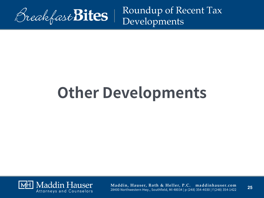

# **Other Developments**

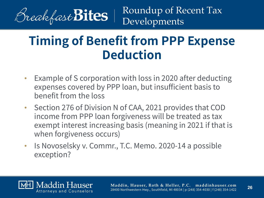

#### **Timing of Benefit from PPP Expense Deduction**

- Example of S corporation with loss in 2020 after deducting expenses covered by PPP loan, but insufficient basis to benefit from the loss
- Section 276 of Division N of CAA, 2021 provides that COD income from PPP loan forgiveness will be treated as tax exempt interest increasing basis (meaning in 2021 if that is when forgiveness occurs)
- Is Novoselsky v. Commr., T.C. Memo. 2020-14 a possible exception?

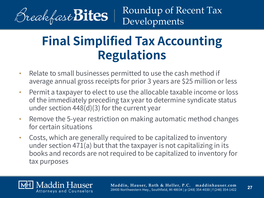

#### **Final Simplified Tax Accounting Regulations**

- Relate to small businesses permitted to use the cash method if average annual gross receipts for prior 3 years are \$25 million or less
- Permit a taxpayer to elect to use the allocable taxable income or loss of the immediately preceding tax year to determine syndicate status under section 448(d)(3) for the current year
- Remove the 5-year restriction on making automatic method changes for certain situations
- Costs, which are generally required to be capitalized to inventory under section 471(a) but that the taxpayer is not capitalizing in its books and records are not required to be capitalized to inventory for tax purposes

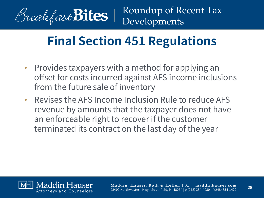

## **Final Section 451 Regulations**

- Provides taxpayers with a method for applying an offset for costs incurred against AFS income inclusions from the future sale of inventory
- Revises the AFS Income Inclusion Rule to reduce AFS revenue by amounts that the taxpayer does not have an enforceable right to recover if the customer terminated its contract on the last day of the year

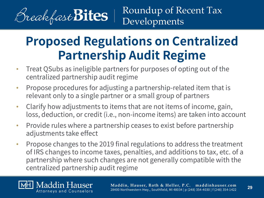

#### **Proposed Regulations on Centralized Partnership Audit Regime**

- Treat QSubs as ineligible partners for purposes of opting out of the centralized partnership audit regime
- Propose procedures for adjusting a partnership-related item that is relevant only to a single partner or a small group of partners
- Clarify how adjustments to items that are not items of income, gain, loss, deduction, or credit (i.e., non-income items) are taken into account
- Provide rules where a partnership ceases to exist before partnership adjustments take effect
- Propose changes to the 2019 final regulations to address the treatment of IRS changes to income taxes, penalties, and additions to tax, etc. of a partnership where such changes are not generally compatible with the centralized partnership audit regime

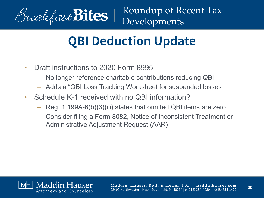

## **QBI Deduction Update**

- Draft instructions to 2020 Form 8995
	- No longer reference charitable contributions reducing QBI
	- Adds a "QBI Loss Tracking Worksheet for suspended losses
- Schedule K-1 received with no QBI information?
	- Reg. 1.199A-6(b)(3)(iii) states that omitted QBI items are zero
	- Consider filing a Form 8082, Notice of Inconsistent Treatment or Administrative Adjustment Request (AAR)

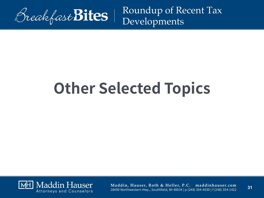

# **Other Selected Topics**

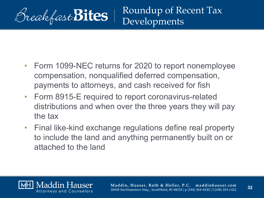

- Form 1099-NEC returns for 2020 to report nonemployee compensation, nonqualified deferred compensation, payments to attorneys, and cash received for fish
- Form 8915-E required to report coronavirus-related distributions and when over the three years they will pay the tax
- Final like-kind exchange regulations define real property to include the land and anything permanently built on or attached to the land